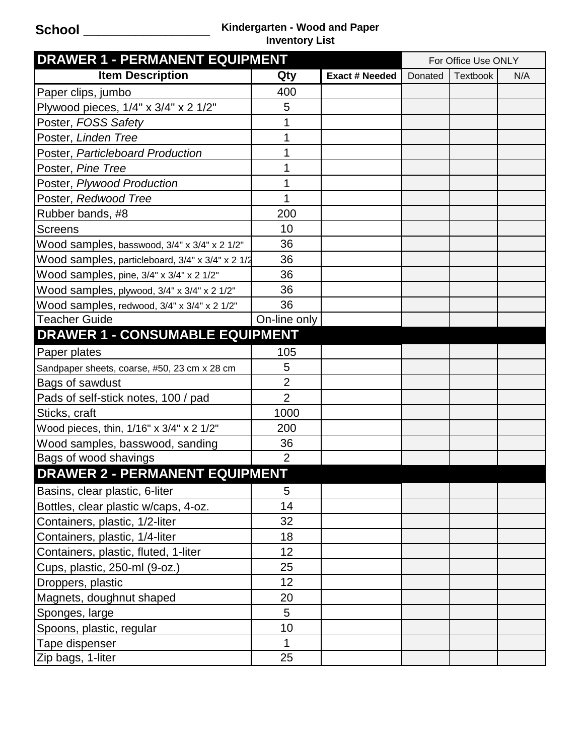## **School \_\_\_\_\_\_\_\_\_\_\_\_\_\_\_\_\_ Kindergarten - Wood and Paper Inventory List**

| <b>DRAWER 1 - PERMANENT EQUIPMENT</b>            |                |                | For Office Use ONLY |                 |     |
|--------------------------------------------------|----------------|----------------|---------------------|-----------------|-----|
| <b>Item Description</b>                          | Qty            | Exact # Needed | Donated             | <b>Textbook</b> | N/A |
| Paper clips, jumbo                               | 400            |                |                     |                 |     |
| Plywood pieces, 1/4" x 3/4" x 2 1/2"             | 5              |                |                     |                 |     |
| Poster, FOSS Safety                              | 1              |                |                     |                 |     |
| Poster, Linden Tree                              |                |                |                     |                 |     |
| Poster, Particleboard Production                 |                |                |                     |                 |     |
| Poster, Pine Tree                                | 1              |                |                     |                 |     |
| Poster, Plywood Production                       |                |                |                     |                 |     |
| Poster, Redwood Tree                             |                |                |                     |                 |     |
| Rubber bands, #8                                 | 200            |                |                     |                 |     |
| Screens                                          | 10             |                |                     |                 |     |
| Wood samples, basswood, 3/4" x 3/4" x 2 1/2"     | 36             |                |                     |                 |     |
| Wood samples, particleboard, 3/4" x 3/4" x 2 1/2 | 36             |                |                     |                 |     |
| Wood samples, pine, 3/4" x 3/4" x 2 1/2"         | 36             |                |                     |                 |     |
| Wood samples, plywood, 3/4" x 3/4" x 2 1/2"      | 36             |                |                     |                 |     |
| Wood samples, redwood, 3/4" x 3/4" x 2 1/2"      | 36             |                |                     |                 |     |
| <b>Teacher Guide</b>                             | On-line only   |                |                     |                 |     |
| <b>DRAWER 1 - CONSUMABLE EQUIPMENT</b>           |                |                |                     |                 |     |
| Paper plates                                     | 105            |                |                     |                 |     |
| Sandpaper sheets, coarse, #50, 23 cm x 28 cm     | 5              |                |                     |                 |     |
| Bags of sawdust                                  | $\overline{2}$ |                |                     |                 |     |
| Pads of self-stick notes, 100 / pad              | $\overline{2}$ |                |                     |                 |     |
| Sticks, craft                                    | 1000           |                |                     |                 |     |
| Wood pieces, thin, 1/16" x 3/4" x 2 1/2"         | 200            |                |                     |                 |     |
| Wood samples, basswood, sanding                  | 36             |                |                     |                 |     |
| Bags of wood shavings                            | $\overline{2}$ |                |                     |                 |     |
| <b>DRAWER 2 - PERMANENT EQUIPMENT</b>            |                |                |                     |                 |     |
| Basins, clear plastic, 6-liter                   | 5              |                |                     |                 |     |
| Bottles, clear plastic w/caps, 4-oz.             | 14             |                |                     |                 |     |
| Containers, plastic, 1/2-liter                   | 32             |                |                     |                 |     |
| Containers, plastic, 1/4-liter                   | 18             |                |                     |                 |     |
| Containers, plastic, fluted, 1-liter             | 12             |                |                     |                 |     |
| Cups, plastic, 250-ml (9-oz.)                    | 25             |                |                     |                 |     |
| Droppers, plastic                                | 12             |                |                     |                 |     |
| Magnets, doughnut shaped                         | 20             |                |                     |                 |     |
| Sponges, large                                   | 5              |                |                     |                 |     |
| Spoons, plastic, regular                         | 10             |                |                     |                 |     |
| Tape dispenser                                   | 1              |                |                     |                 |     |
| Zip bags, 1-liter                                | 25             |                |                     |                 |     |